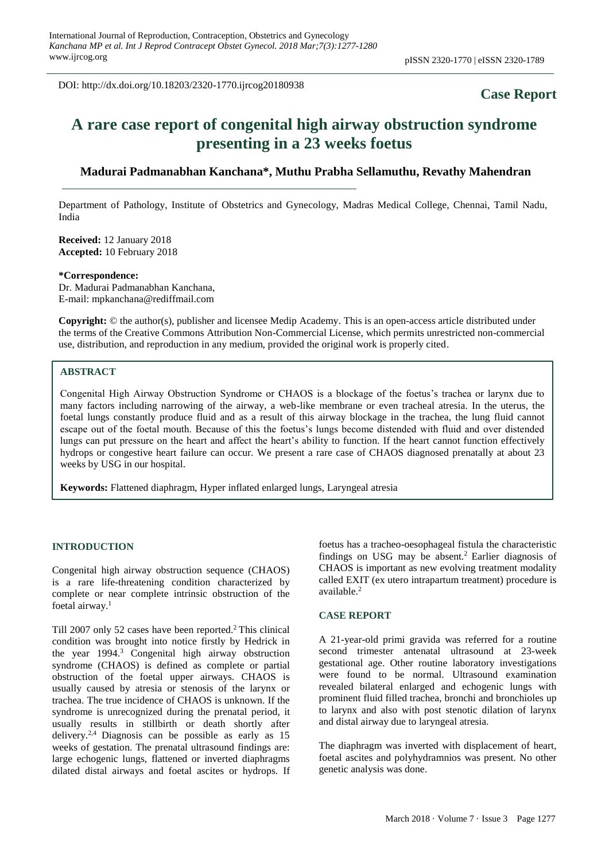DOI: http://dx.doi.org/10.18203/2320-1770.ijrcog20180938

# **Case Report**

# **A rare case report of congenital high airway obstruction syndrome presenting in a 23 weeks foetus**

# **Madurai Padmanabhan Kanchana\*, Muthu Prabha Sellamuthu, Revathy Mahendran**

Department of Pathology, Institute of Obstetrics and Gynecology, Madras Medical College, Chennai, Tamil Nadu, India

**Received:** 12 January 2018 **Accepted:** 10 February 2018

#### **\*Correspondence:**

Dr. Madurai Padmanabhan Kanchana, E-mail: mpkanchana@rediffmail.com

**Copyright:** © the author(s), publisher and licensee Medip Academy. This is an open-access article distributed under the terms of the Creative Commons Attribution Non-Commercial License, which permits unrestricted non-commercial use, distribution, and reproduction in any medium, provided the original work is properly cited.

## **ABSTRACT**

Congenital High Airway Obstruction Syndrome or CHAOS is a blockage of the foetus's trachea or larynx due to many factors including narrowing of the airway, a web-like membrane or even tracheal atresia. In the uterus, the foetal lungs constantly produce fluid and as a result of this airway blockage in the trachea, the lung fluid cannot escape out of the foetal mouth. Because of this the foetus's lungs become distended with fluid and over distended lungs can put pressure on the heart and affect the heart's ability to function. If the heart cannot function effectively hydrops or congestive heart failure can occur. We present a rare case of CHAOS diagnosed prenatally at about 23 weeks by USG in our hospital.

**Keywords:** Flattened diaphragm, Hyper inflated enlarged lungs, Laryngeal atresia

## **INTRODUCTION**

Congenital high airway obstruction sequence (CHAOS) is a rare life-threatening condition characterized by complete or near complete intrinsic obstruction of the foetal airway.<sup>1</sup>

Till 2007 only 52 cases have been reported.<sup>2</sup> This clinical condition was brought into notice firstly by Hedrick in the year 1994.<sup>3</sup> Congenital high airway obstruction syndrome (CHAOS) is defined as complete or partial obstruction of the foetal upper airways. CHAOS is usually caused by atresia or stenosis of the larynx or trachea. The true incidence of CHAOS is unknown. If the syndrome is unrecognized during the prenatal period, it usually results in stillbirth or death shortly after delivery.<sup>2,4</sup> Diagnosis can be possible as early as  $15$ weeks of gestation. The prenatal ultrasound findings are: large echogenic lungs, flattened or inverted diaphragms dilated distal airways and foetal ascites or hydrops. If foetus has a tracheo-oesophageal fistula the characteristic findings on USG may be absent.<sup>2</sup> Earlier diagnosis of CHAOS is important as new evolving treatment modality called EXIT (ex utero intrapartum treatment) procedure is available.<sup>2</sup>

#### **CASE REPORT**

A 21-year-old primi gravida was referred for a routine second trimester antenatal ultrasound at 23-week gestational age. Other routine laboratory investigations were found to be normal. Ultrasound examination revealed bilateral enlarged and echogenic lungs with prominent fluid filled trachea, bronchi and bronchioles up to larynx and also with post stenotic dilation of larynx and distal airway due to laryngeal atresia.

The diaphragm was inverted with displacement of heart, foetal ascites and polyhydramnios was present. No other genetic analysis was done.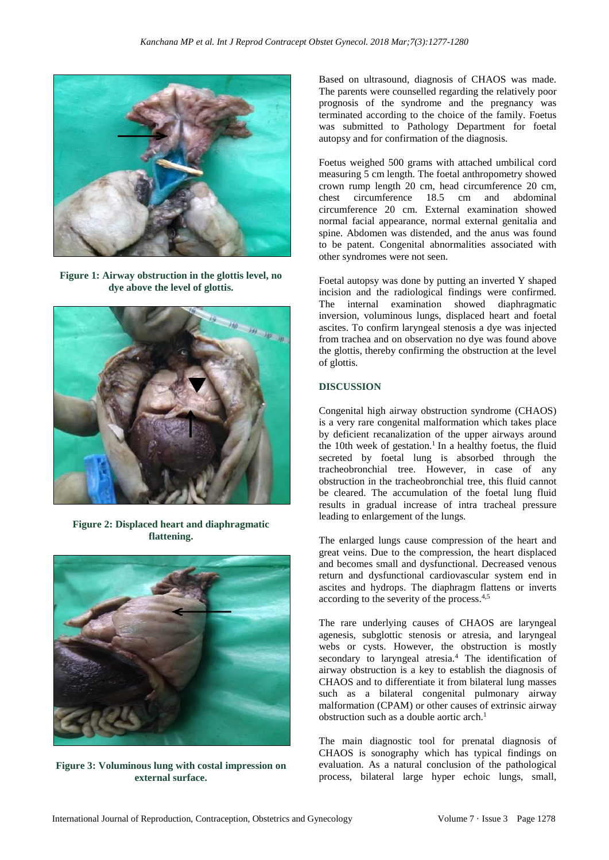

**Figure 1: Airway obstruction in the glottis level, no dye above the level of glottis.**



**Figure 2: Displaced heart and diaphragmatic flattening.**



**Figure 3: Voluminous lung with costal impression on external surface.**

Based on ultrasound, diagnosis of CHAOS was made. The parents were counselled regarding the relatively poor prognosis of the syndrome and the pregnancy was terminated according to the choice of the family. Foetus was submitted to Pathology Department for foetal autopsy and for confirmation of the diagnosis.

Foetus weighed 500 grams with attached umbilical cord measuring 5 cm length. The foetal anthropometry showed crown rump length 20 cm, head circumference 20 cm, chest circumference 18.5 cm and abdominal circumference 20 cm. External examination showed normal facial appearance, normal external genitalia and spine. Abdomen was distended, and the anus was found to be patent. Congenital abnormalities associated with other syndromes were not seen.

Foetal autopsy was done by putting an inverted Y shaped incision and the radiological findings were confirmed. The internal examination showed diaphragmatic inversion, voluminous lungs, displaced heart and foetal ascites. To confirm laryngeal stenosis a dye was injected from trachea and on observation no dye was found above the glottis, thereby confirming the obstruction at the level of glottis.

# **DISCUSSION**

Congenital high airway obstruction syndrome (CHAOS) is a very rare congenital malformation which takes place by deficient recanalization of the upper airways around the 10th week of gestation.<sup>1</sup> In a healthy foetus, the fluid secreted by foetal lung is absorbed through the tracheobronchial tree. However, in case of any obstruction in the tracheobronchial tree, this fluid cannot be cleared. The accumulation of the foetal lung fluid results in gradual increase of intra tracheal pressure leading to enlargement of the lungs.

The enlarged lungs cause compression of the heart and great veins. Due to the compression, the heart displaced and becomes small and dysfunctional. Decreased venous return and dysfunctional cardiovascular system end in ascites and hydrops. The diaphragm flattens or inverts according to the severity of the process.4,5

The rare underlying causes of CHAOS are laryngeal agenesis, subglottic stenosis or atresia, and laryngeal webs or cysts. However, the obstruction is mostly secondary to laryngeal atresia.<sup>4</sup> The identification of airway obstruction is a key to establish the diagnosis of CHAOS and to differentiate it from bilateral lung masses such as a bilateral congenital pulmonary airway malformation (CPAM) or other causes of extrinsic airway obstruction such as a double aortic arch.<sup>1</sup>

The main diagnostic tool for prenatal diagnosis of CHAOS is sonography which has typical findings on evaluation. As a natural conclusion of the pathological process, bilateral large hyper echoic lungs, small,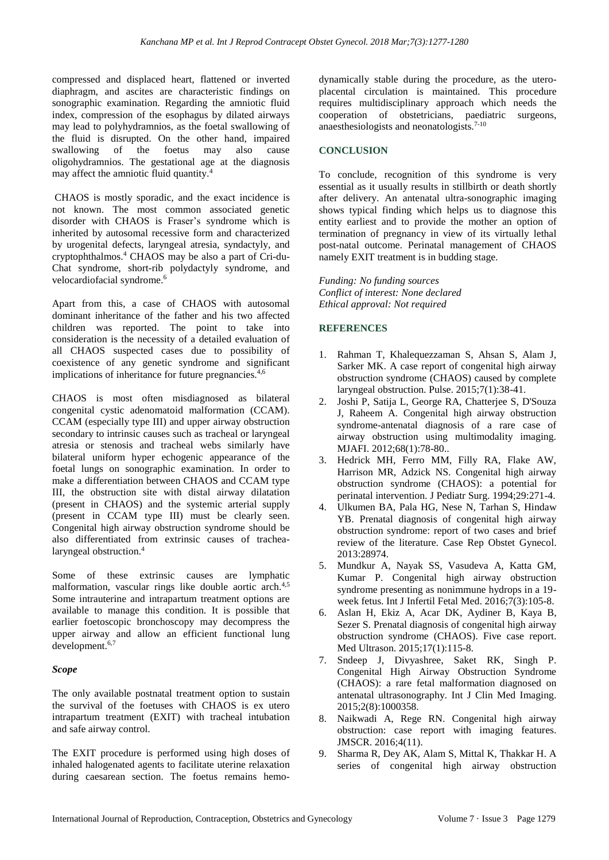compressed and displaced heart, flattened or inverted diaphragm, and ascites are characteristic findings on sonographic examination. Regarding the amniotic fluid index, compression of the esophagus by dilated airways may lead to polyhydramnios, as the foetal swallowing of the fluid is disrupted. On the other hand, impaired swallowing of the foetus may also cause oligohydramnios. The gestational age at the diagnosis may affect the amniotic fluid quantity.<sup>4</sup>

CHAOS is mostly sporadic, and the exact incidence is not known. The most common associated genetic disorder with CHAOS is Fraser's syndrome which is inherited by autosomal recessive form and characterized by urogenital defects, laryngeal atresia, syndactyly, and cryptophthalmos.<sup>4</sup> CHAOS may be also a part of Cri-du-Chat syndrome, short-rib polydactyly syndrome, and velocardiofacial syndrome.<sup>6</sup>

Apart from this, a case of CHAOS with autosomal dominant inheritance of the father and his two affected children was reported. The point to take into consideration is the necessity of a detailed evaluation of all CHAOS suspected cases due to possibility of coexistence of any genetic syndrome and significant implications of inheritance for future pregnancies.<sup>4,6</sup>

CHAOS is most often misdiagnosed as bilateral congenital cystic adenomatoid malformation (CCAM). CCAM (especially type III) and upper airway obstruction secondary to intrinsic causes such as tracheal or laryngeal atresia or stenosis and tracheal webs similarly have bilateral uniform hyper echogenic appearance of the foetal lungs on sonographic examination. In order to make a differentiation between CHAOS and CCAM type III, the obstruction site with distal airway dilatation (present in CHAOS) and the systemic arterial supply (present in CCAM type III) must be clearly seen. Congenital high airway obstruction syndrome should be also differentiated from extrinsic causes of trachealaryngeal obstruction.<sup>4</sup>

Some of these extrinsic causes are lymphatic malformation, vascular rings like double aortic arch.<sup>4,5</sup> Some intrauterine and intrapartum treatment options are available to manage this condition. It is possible that earlier foetoscopic bronchoscopy may decompress the upper airway and allow an efficient functional lung development.6,7

# *Scope*

The only available postnatal treatment option to sustain the survival of the foetuses with CHAOS is ex utero intrapartum treatment (EXIT) with tracheal intubation and safe airway control.

The EXIT procedure is performed using high doses of inhaled halogenated agents to facilitate uterine relaxation during caesarean section. The foetus remains hemodynamically stable during the procedure, as the uteroplacental circulation is maintained. This procedure requires multidisciplinary approach which needs the cooperation of obstetricians, paediatric surgeons, anaesthesiologists and neonatologists.7-10

## **CONCLUSION**

To conclude, recognition of this syndrome is very essential as it usually results in stillbirth or death shortly after delivery. An antenatal ultra-sonographic imaging shows typical finding which helps us to diagnose this entity earliest and to provide the mother an option of termination of pregnancy in view of its virtually lethal post-natal outcome. Perinatal management of CHAOS namely EXIT treatment is in budding stage.

*Funding: No funding sources Conflict of interest: None declared Ethical approval: Not required*

## **REFERENCES**

- 1. Rahman T, Khalequezzaman S, Ahsan S, Alam J, Sarker MK. A case report of congenital high airway obstruction syndrome (CHAOS) caused by complete laryngeal obstruction. Pulse. 2015;7(1):38-41.
- 2. Joshi P, Satija L, George RA, Chatterjee S, D'Souza J, Raheem A. Congenital high airway obstruction syndrome-antenatal diagnosis of a rare case of airway obstruction using multimodality imaging. MJAFI. 2012;68(1):78-80..
- 3. Hedrick MH, Ferro MM, Filly RA, Flake AW, Harrison MR, Adzick NS. Congenital high airway obstruction syndrome (CHAOS): a potential for perinatal intervention. J Pediatr Surg. 1994;29:271-4.
- 4. Ulkumen BA, Pala HG, Nese N, Tarhan S, Hindaw YB. Prenatal diagnosis of congenital high airway obstruction syndrome: report of two cases and brief review of the literature. Case Rep Obstet Gynecol. 2013:28974.
- 5. Mundkur A, Nayak SS, Vasudeva A, Katta GM, Kumar P. Congenital high airway obstruction syndrome presenting as nonimmune hydrops in a 19 week fetus. Int J Infertil Fetal Med. 2016;7(3):105-8.
- 6. Aslan H, Ekiz A, Acar DK, Aydiner B, Kaya B, Sezer S. Prenatal diagnosis of congenital high airway obstruction syndrome (CHAOS). Five case report. Med Ultrason. 2015;17(1):115-8.
- 7. Sndeep J, Divyashree, Saket RK, Singh P. Congenital High Airway Obstruction Syndrome (CHAOS): a rare fetal malformation diagnosed on antenatal ultrasonography. Int J Clin Med Imaging. 2015;2(8):1000358.
- 8. Naikwadi A, Rege RN. Congenital high airway obstruction: case report with imaging features. JMSCR. 2016;4(11).
- 9. Sharma R, Dey AK, Alam S, Mittal K, Thakkar H. A series of congenital high airway obstruction